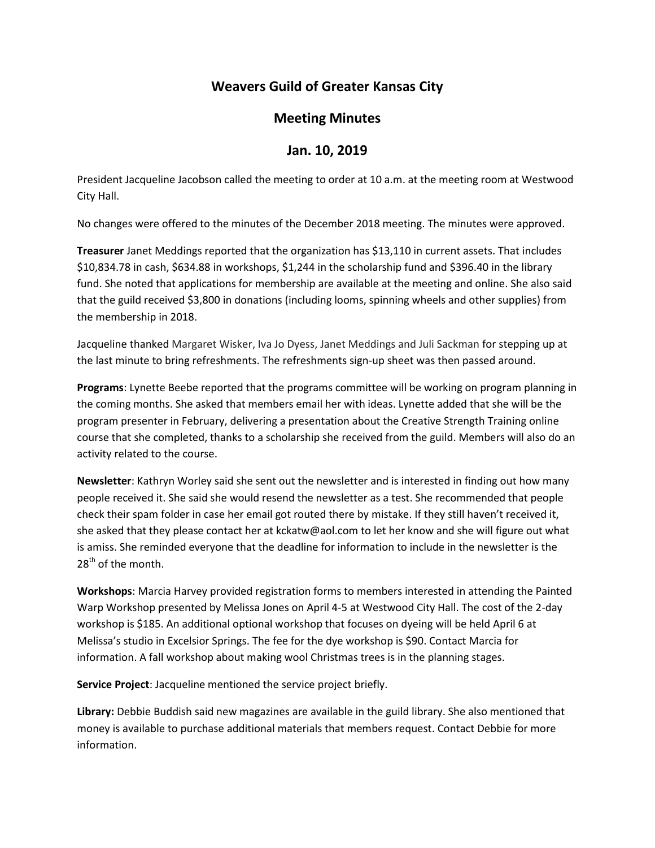## **Weavers Guild of Greater Kansas City**

## **Meeting Minutes**

## **Jan. 10, 2019**

President Jacqueline Jacobson called the meeting to order at 10 a.m. at the meeting room at Westwood City Hall.

No changes were offered to the minutes of the December 2018 meeting. The minutes were approved.

**Treasurer** Janet Meddings reported that the organization has \$13,110 in current assets. That includes \$10,834.78 in cash, \$634.88 in workshops, \$1,244 in the scholarship fund and \$396.40 in the library fund. She noted that applications for membership are available at the meeting and online. She also said that the guild received \$3,800 in donations (including looms, spinning wheels and other supplies) from the membership in 2018.

Jacqueline thanked Margaret Wisker, Iva Jo Dyess, Janet Meddings and Juli Sackman for stepping up at the last minute to bring refreshments. The refreshments sign-up sheet was then passed around.

**Programs**: Lynette Beebe reported that the programs committee will be working on program planning in the coming months. She asked that members email her with ideas. Lynette added that she will be the program presenter in February, delivering a presentation about the Creative Strength Training online course that she completed, thanks to a scholarship she received from the guild. Members will also do an activity related to the course.

**Newsletter**: Kathryn Worley said she sent out the newsletter and is interested in finding out how many people received it. She said she would resend the newsletter as a test. She recommended that people check their spam folder in case her email got routed there by mistake. If they still haven't received it, she asked that they please contact her at kckatw@aol.com to let her know and she will figure out what is amiss. She reminded everyone that the deadline for information to include in the newsletter is the 28<sup>th</sup> of the month.

**Workshops**: Marcia Harvey provided registration forms to members interested in attending the Painted Warp Workshop presented by Melissa Jones on April 4-5 at Westwood City Hall. The cost of the 2-day workshop is \$185. An additional optional workshop that focuses on dyeing will be held April 6 at Melissa's studio in Excelsior Springs. The fee for the dye workshop is \$90. Contact Marcia for information. A fall workshop about making wool Christmas trees is in the planning stages.

**Service Project**: Jacqueline mentioned the service project briefly.

**Library:** Debbie Buddish said new magazines are available in the guild library. She also mentioned that money is available to purchase additional materials that members request. Contact Debbie for more information.